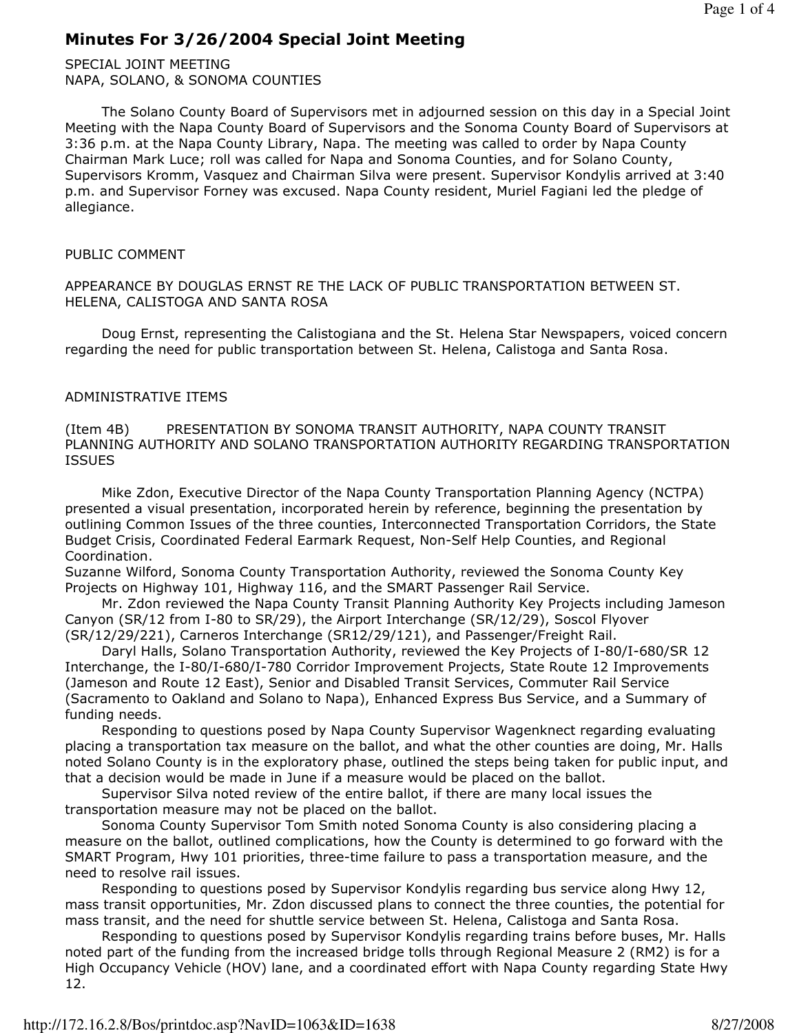# Minutes For 3/26/2004 Special Joint Meeting

SPECIAL JOINT MEETING NAPA, SOLANO, & SONOMA COUNTIES

 The Solano County Board of Supervisors met in adjourned session on this day in a Special Joint Meeting with the Napa County Board of Supervisors and the Sonoma County Board of Supervisors at 3:36 p.m. at the Napa County Library, Napa. The meeting was called to order by Napa County Chairman Mark Luce; roll was called for Napa and Sonoma Counties, and for Solano County, Supervisors Kromm, Vasquez and Chairman Silva were present. Supervisor Kondylis arrived at 3:40 p.m. and Supervisor Forney was excused. Napa County resident, Muriel Fagiani led the pledge of allegiance.

### PUBLIC COMMENT

APPEARANCE BY DOUGLAS ERNST RE THE LACK OF PUBLIC TRANSPORTATION BETWEEN ST. HELENA, CALISTOGA AND SANTA ROSA

 Doug Ernst, representing the Calistogiana and the St. Helena Star Newspapers, voiced concern regarding the need for public transportation between St. Helena, Calistoga and Santa Rosa.

### ADMINISTRATIVE ITEMS

(Item 4B) PRESENTATION BY SONOMA TRANSIT AUTHORITY, NAPA COUNTY TRANSIT PLANNING AUTHORITY AND SOLANO TRANSPORTATION AUTHORITY REGARDING TRANSPORTATION ISSUES

 Mike Zdon, Executive Director of the Napa County Transportation Planning Agency (NCTPA) presented a visual presentation, incorporated herein by reference, beginning the presentation by outlining Common Issues of the three counties, Interconnected Transportation Corridors, the State Budget Crisis, Coordinated Federal Earmark Request, Non-Self Help Counties, and Regional Coordination.

Suzanne Wilford, Sonoma County Transportation Authority, reviewed the Sonoma County Key Projects on Highway 101, Highway 116, and the SMART Passenger Rail Service.

 Mr. Zdon reviewed the Napa County Transit Planning Authority Key Projects including Jameson Canyon (SR/12 from I-80 to SR/29), the Airport Interchange (SR/12/29), Soscol Flyover (SR/12/29/221), Carneros Interchange (SR12/29/121), and Passenger/Freight Rail.

 Daryl Halls, Solano Transportation Authority, reviewed the Key Projects of I-80/I-680/SR 12 Interchange, the I-80/I-680/I-780 Corridor Improvement Projects, State Route 12 Improvements (Jameson and Route 12 East), Senior and Disabled Transit Services, Commuter Rail Service (Sacramento to Oakland and Solano to Napa), Enhanced Express Bus Service, and a Summary of funding needs.

 Responding to questions posed by Napa County Supervisor Wagenknect regarding evaluating placing a transportation tax measure on the ballot, and what the other counties are doing, Mr. Halls noted Solano County is in the exploratory phase, outlined the steps being taken for public input, and that a decision would be made in June if a measure would be placed on the ballot.

 Supervisor Silva noted review of the entire ballot, if there are many local issues the transportation measure may not be placed on the ballot.

 Sonoma County Supervisor Tom Smith noted Sonoma County is also considering placing a measure on the ballot, outlined complications, how the County is determined to go forward with the SMART Program, Hwy 101 priorities, three-time failure to pass a transportation measure, and the need to resolve rail issues.

 Responding to questions posed by Supervisor Kondylis regarding bus service along Hwy 12, mass transit opportunities, Mr. Zdon discussed plans to connect the three counties, the potential for mass transit, and the need for shuttle service between St. Helena, Calistoga and Santa Rosa.

 Responding to questions posed by Supervisor Kondylis regarding trains before buses, Mr. Halls noted part of the funding from the increased bridge tolls through Regional Measure 2 (RM2) is for a High Occupancy Vehicle (HOV) lane, and a coordinated effort with Napa County regarding State Hwy 12.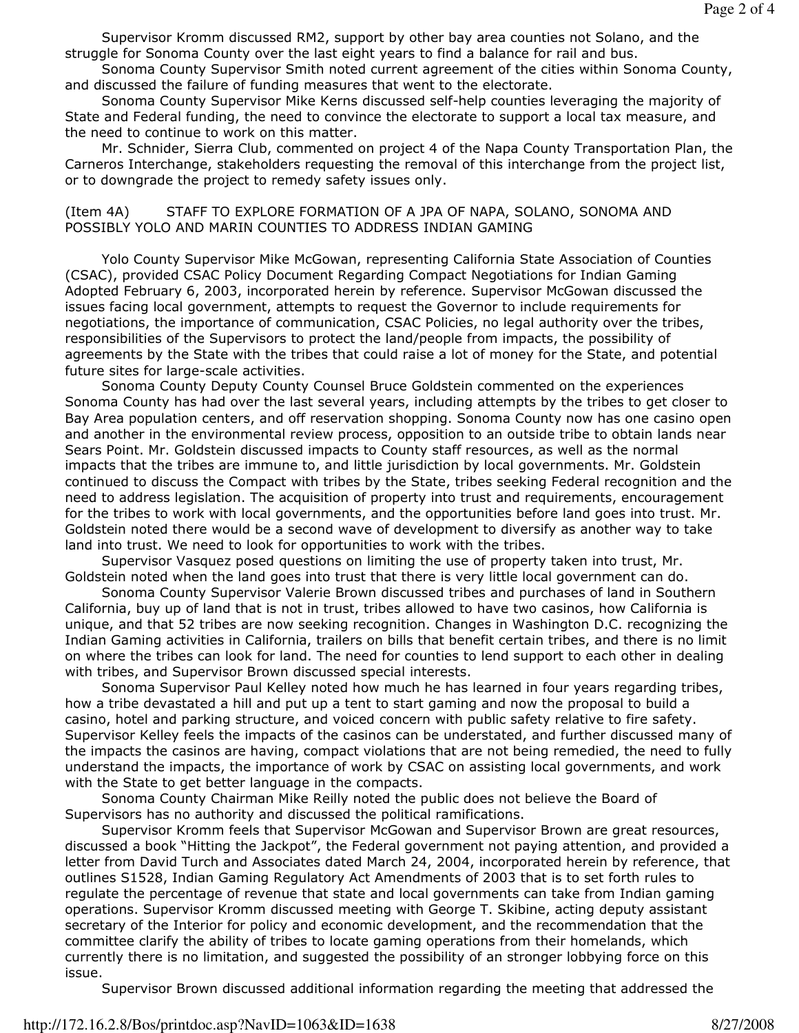Supervisor Kromm discussed RM2, support by other bay area counties not Solano, and the struggle for Sonoma County over the last eight years to find a balance for rail and bus.

 Sonoma County Supervisor Smith noted current agreement of the cities within Sonoma County, and discussed the failure of funding measures that went to the electorate.

 Sonoma County Supervisor Mike Kerns discussed self-help counties leveraging the majority of State and Federal funding, the need to convince the electorate to support a local tax measure, and the need to continue to work on this matter.

 Mr. Schnider, Sierra Club, commented on project 4 of the Napa County Transportation Plan, the Carneros Interchange, stakeholders requesting the removal of this interchange from the project list, or to downgrade the project to remedy safety issues only.

#### (Item 4A) STAFF TO EXPLORE FORMATION OF A JPA OF NAPA, SOLANO, SONOMA AND POSSIBLY YOLO AND MARIN COUNTIES TO ADDRESS INDIAN GAMING

 Yolo County Supervisor Mike McGowan, representing California State Association of Counties (CSAC), provided CSAC Policy Document Regarding Compact Negotiations for Indian Gaming Adopted February 6, 2003, incorporated herein by reference. Supervisor McGowan discussed the issues facing local government, attempts to request the Governor to include requirements for negotiations, the importance of communication, CSAC Policies, no legal authority over the tribes, responsibilities of the Supervisors to protect the land/people from impacts, the possibility of agreements by the State with the tribes that could raise a lot of money for the State, and potential future sites for large-scale activities.

 Sonoma County Deputy County Counsel Bruce Goldstein commented on the experiences Sonoma County has had over the last several years, including attempts by the tribes to get closer to Bay Area population centers, and off reservation shopping. Sonoma County now has one casino open and another in the environmental review process, opposition to an outside tribe to obtain lands near Sears Point. Mr. Goldstein discussed impacts to County staff resources, as well as the normal impacts that the tribes are immune to, and little jurisdiction by local governments. Mr. Goldstein continued to discuss the Compact with tribes by the State, tribes seeking Federal recognition and the need to address legislation. The acquisition of property into trust and requirements, encouragement for the tribes to work with local governments, and the opportunities before land goes into trust. Mr. Goldstein noted there would be a second wave of development to diversify as another way to take land into trust. We need to look for opportunities to work with the tribes.

 Supervisor Vasquez posed questions on limiting the use of property taken into trust, Mr. Goldstein noted when the land goes into trust that there is very little local government can do.

 Sonoma County Supervisor Valerie Brown discussed tribes and purchases of land in Southern California, buy up of land that is not in trust, tribes allowed to have two casinos, how California is unique, and that 52 tribes are now seeking recognition. Changes in Washington D.C. recognizing the Indian Gaming activities in California, trailers on bills that benefit certain tribes, and there is no limit on where the tribes can look for land. The need for counties to lend support to each other in dealing with tribes, and Supervisor Brown discussed special interests.

 Sonoma Supervisor Paul Kelley noted how much he has learned in four years regarding tribes, how a tribe devastated a hill and put up a tent to start gaming and now the proposal to build a casino, hotel and parking structure, and voiced concern with public safety relative to fire safety. Supervisor Kelley feels the impacts of the casinos can be understated, and further discussed many of the impacts the casinos are having, compact violations that are not being remedied, the need to fully understand the impacts, the importance of work by CSAC on assisting local governments, and work with the State to get better language in the compacts.

 Sonoma County Chairman Mike Reilly noted the public does not believe the Board of Supervisors has no authority and discussed the political ramifications.

 Supervisor Kromm feels that Supervisor McGowan and Supervisor Brown are great resources, discussed a book "Hitting the Jackpot", the Federal government not paying attention, and provided a letter from David Turch and Associates dated March 24, 2004, incorporated herein by reference, that outlines S1528, Indian Gaming Regulatory Act Amendments of 2003 that is to set forth rules to regulate the percentage of revenue that state and local governments can take from Indian gaming operations. Supervisor Kromm discussed meeting with George T. Skibine, acting deputy assistant secretary of the Interior for policy and economic development, and the recommendation that the committee clarify the ability of tribes to locate gaming operations from their homelands, which currently there is no limitation, and suggested the possibility of an stronger lobbying force on this issue.

Supervisor Brown discussed additional information regarding the meeting that addressed the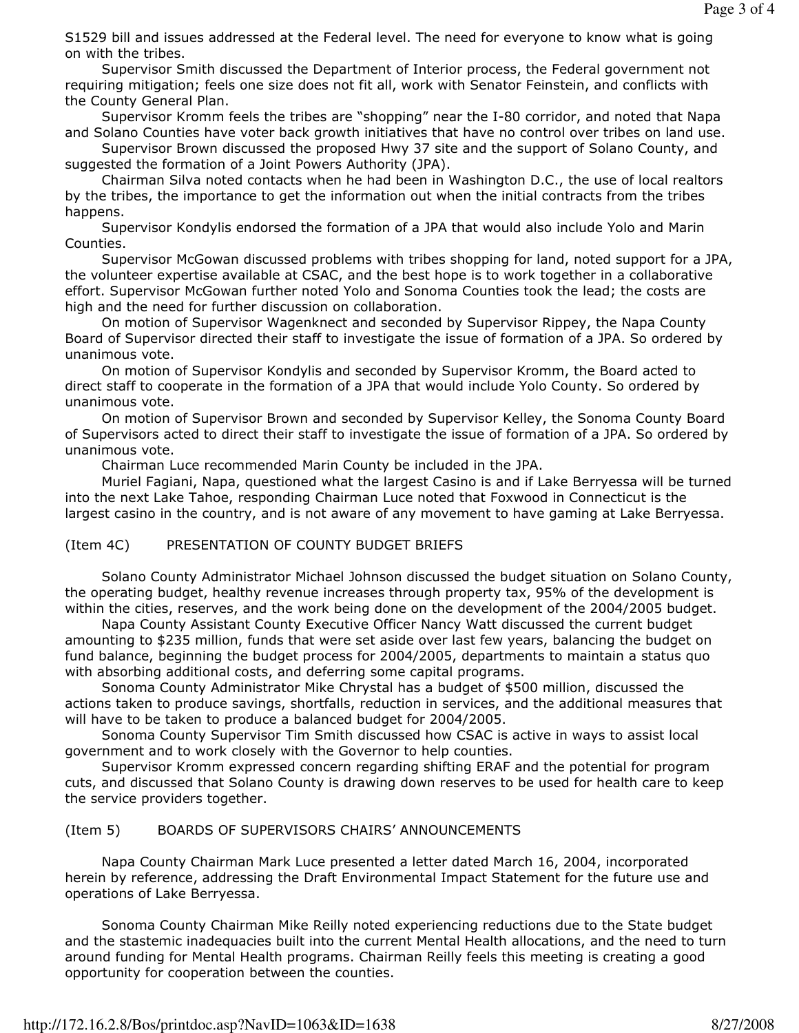S1529 bill and issues addressed at the Federal level. The need for everyone to know what is going on with the tribes.

 Supervisor Smith discussed the Department of Interior process, the Federal government not requiring mitigation; feels one size does not fit all, work with Senator Feinstein, and conflicts with the County General Plan.

 Supervisor Kromm feels the tribes are "shopping" near the I-80 corridor, and noted that Napa and Solano Counties have voter back growth initiatives that have no control over tribes on land use.

 Supervisor Brown discussed the proposed Hwy 37 site and the support of Solano County, and suggested the formation of a Joint Powers Authority (JPA).

 Chairman Silva noted contacts when he had been in Washington D.C., the use of local realtors by the tribes, the importance to get the information out when the initial contracts from the tribes happens.

 Supervisor Kondylis endorsed the formation of a JPA that would also include Yolo and Marin Counties.

 Supervisor McGowan discussed problems with tribes shopping for land, noted support for a JPA, the volunteer expertise available at CSAC, and the best hope is to work together in a collaborative effort. Supervisor McGowan further noted Yolo and Sonoma Counties took the lead; the costs are high and the need for further discussion on collaboration.

 On motion of Supervisor Wagenknect and seconded by Supervisor Rippey, the Napa County Board of Supervisor directed their staff to investigate the issue of formation of a JPA. So ordered by unanimous vote.

 On motion of Supervisor Kondylis and seconded by Supervisor Kromm, the Board acted to direct staff to cooperate in the formation of a JPA that would include Yolo County. So ordered by unanimous vote.

 On motion of Supervisor Brown and seconded by Supervisor Kelley, the Sonoma County Board of Supervisors acted to direct their staff to investigate the issue of formation of a JPA. So ordered by unanimous vote.

Chairman Luce recommended Marin County be included in the JPA.

 Muriel Fagiani, Napa, questioned what the largest Casino is and if Lake Berryessa will be turned into the next Lake Tahoe, responding Chairman Luce noted that Foxwood in Connecticut is the largest casino in the country, and is not aware of any movement to have gaming at Lake Berryessa.

### (Item 4C) PRESENTATION OF COUNTY BUDGET BRIEFS

 Solano County Administrator Michael Johnson discussed the budget situation on Solano County, the operating budget, healthy revenue increases through property tax, 95% of the development is within the cities, reserves, and the work being done on the development of the 2004/2005 budget.

 Napa County Assistant County Executive Officer Nancy Watt discussed the current budget amounting to \$235 million, funds that were set aside over last few years, balancing the budget on fund balance, beginning the budget process for 2004/2005, departments to maintain a status quo with absorbing additional costs, and deferring some capital programs.

 Sonoma County Administrator Mike Chrystal has a budget of \$500 million, discussed the actions taken to produce savings, shortfalls, reduction in services, and the additional measures that will have to be taken to produce a balanced budget for 2004/2005.

 Sonoma County Supervisor Tim Smith discussed how CSAC is active in ways to assist local government and to work closely with the Governor to help counties.

 Supervisor Kromm expressed concern regarding shifting ERAF and the potential for program cuts, and discussed that Solano County is drawing down reserves to be used for health care to keep the service providers together.

## (Item 5) BOARDS OF SUPERVISORS CHAIRS' ANNOUNCEMENTS

 Napa County Chairman Mark Luce presented a letter dated March 16, 2004, incorporated herein by reference, addressing the Draft Environmental Impact Statement for the future use and operations of Lake Berryessa.

 Sonoma County Chairman Mike Reilly noted experiencing reductions due to the State budget and the stastemic inadequacies built into the current Mental Health allocations, and the need to turn around funding for Mental Health programs. Chairman Reilly feels this meeting is creating a good opportunity for cooperation between the counties.